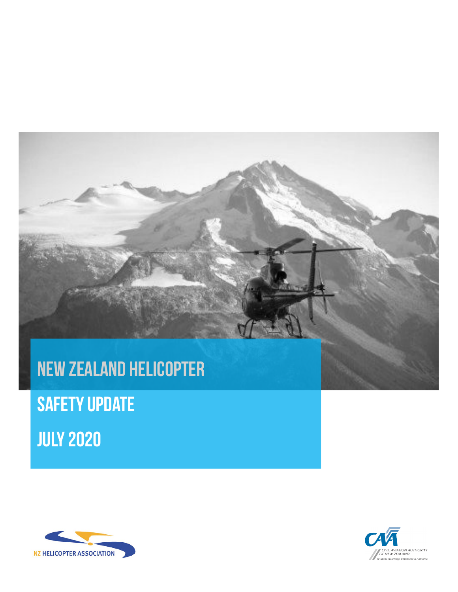

**Safety Update July 2020**



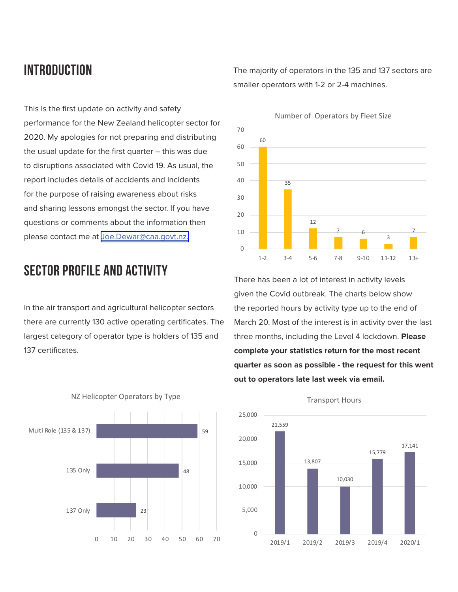## **introduction**

The majority of operators in the 135 and 137 sectors are smaller operators with 1-2 or 2-4 machines.

This is the first update on activity and safety performance for the New Zealand helicopter sector for 2020. My apologies for not preparing and distributing the usual update for the first quarter – this was due to disruptions associated with Covid 19. As usual, the report includes details of accidents and incidents for the purpose of raising awareness about risks and sharing lessons amongst the sector. If you have questions or comments about the information then please contact me at [Joe.Dewar@caa.govt.nz.](mailto:Joe.Dewar%40caa.govt.nz?subject=)

## **sector PROFILE and activity**

In the air transport and agricultural helicopter sectors there are currently 130 active operating certificates. The largest category of operator type is holders of 135 and 137 certificates.



There has been a lot of interest in activity levels given the Covid outbreak. The charts below show the reported hours by activity type up to the end of March 20. Most of the interest is in activity over the last three months, including the Level 4 lockdown. **Please complete your statistics return for the most recent quarter as soon as possible - the request for this went out to operators late last week via email.** 



NZ Helicopter Operators by Type



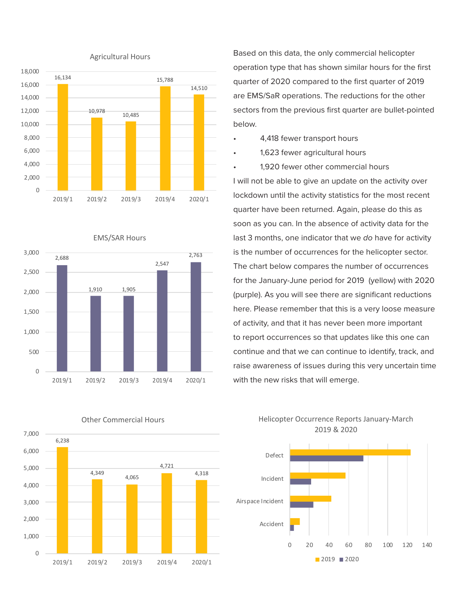

EMS/SAR Hours





Based on this data, the only commercial helicopter operation type that has shown similar hours for the first quarter of 2020 compared to the first quarter of 2019 are EMS/SaR operations. The reductions for the other sectors from the previous first quarter are bullet-pointed below.

- 4,418 fewer transport hours
- 1,623 fewer agricultural hours
- 1,920 fewer other commercial hours

I will not be able to give an update on the activity over lockdown until the activity statistics for the most recent quarter have been returned. Again, please do this as soon as you can. In the absence of activity data for the last 3 months, one indicator that we *do* have for activity is the number of occurrences for the helicopter sector. The chart below compares the number of occurrences for the January-June period for 2019 (yellow) with 2020 (purple). As you will see there are significant reductions here. Please remember that this is a very loose measure of activity, and that it has never been more important to report occurrences so that updates like this one can continue and that we can continue to identify, track, and raise awareness of issues during this very uncertain time with the new risks that will emerge.





#### Other Commercial Hours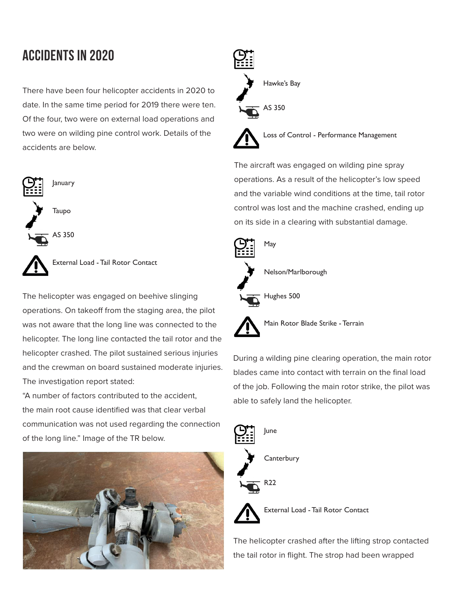# **accidents in 2020**

There have been four helicopter accidents in 2020 to date. In the same time period for 2019 there were ten. Of the four, two were on external load operations and two were on wilding pine control work. Details of the accidents are below.



AS 350



External Load - Tail Rotor Contact

The helicopter was engaged on beehive slinging operations. On takeoff from the staging area, the pilot was not aware that the long line was connected to the helicopter. The long line contacted the tail rotor and the helicopter crashed. The pilot sustained serious injuries and the crewman on board sustained moderate injuries. The investigation report stated:

"A number of factors contributed to the accident, the main root cause identified was that clear verbal communication was not used regarding the connection of the long line." Image of the TR below.





The aircraft was engaged on wilding pine spray operations. As a result of the helicopter's low speed and the variable wind conditions at the time, tail rotor control was lost and the machine crashed, ending up on its side in a clearing with substantial damage.



Main Rotor Blade Strike - Terrain

During a wilding pine clearing operation, the main rotor blades came into contact with terrain on the final load of the job. Following the main rotor strike, the pilot was able to safely land the helicopter.





External Load - Tail Rotor Contact

The helicopter crashed after the lifting strop contacted the tail rotor in flight. The strop had been wrapped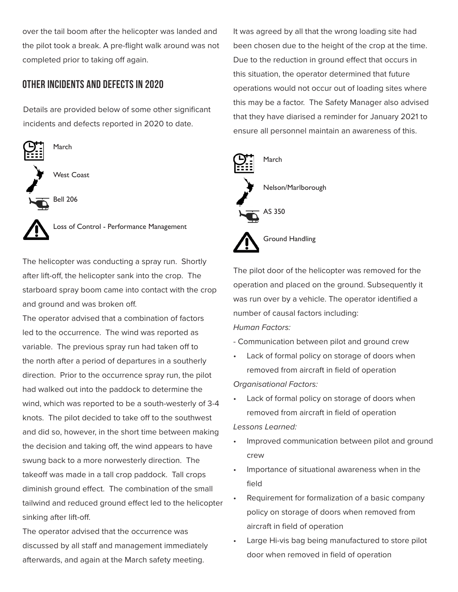over the tail boom after the helicopter was landed and the pilot took a break. A pre-flight walk around was not completed prior to taking off again.

### **other incidents and defects in 2020**

Details are provided below of some other significant incidents and defects reported in 2020 to date.



Loss of Control - Performance Management

The helicopter was conducting a spray run. Shortly after lift-off, the helicopter sank into the crop. The starboard spray boom came into contact with the crop and ground and was broken off.

The operator advised that a combination of factors led to the occurrence. The wind was reported as variable. The previous spray run had taken off to the north after a period of departures in a southerly direction. Prior to the occurrence spray run, the pilot had walked out into the paddock to determine the wind, which was reported to be a south-westerly of 3-4 knots. The pilot decided to take off to the southwest and did so, however, in the short time between making the decision and taking off, the wind appears to have swung back to a more norwesterly direction. The takeoff was made in a tall crop paddock. Tall crops diminish ground effect. The combination of the small tailwind and reduced ground effect led to the helicopter sinking after lift-off.

The operator advised that the occurrence was discussed by all staff and management immediately afterwards, and again at the March safety meeting.

It was agreed by all that the wrong loading site had been chosen due to the height of the crop at the time. Due to the reduction in ground effect that occurs in this situation, the operator determined that future operations would not occur out of loading sites where this may be a factor. The Safety Manager also advised that they have diarised a reminder for January 2021 to ensure all personnel maintain an awareness of this.



The pilot door of the helicopter was removed for the operation and placed on the ground. Subsequently it was run over by a vehicle. The operator identified a number of causal factors including: *Human Factors:* 

- Communication between pilot and ground crew

• Lack of formal policy on storage of doors when removed from aircraft in field of operation

*Organisational Factors:* 

• Lack of formal policy on storage of doors when removed from aircraft in field of operation

*Lessons Learned:* 

- Improved communication between pilot and ground crew
- Importance of situational awareness when in the field
- Requirement for formalization of a basic company policy on storage of doors when removed from aircraft in field of operation
- Large Hi-vis bag being manufactured to store pilot door when removed in field of operation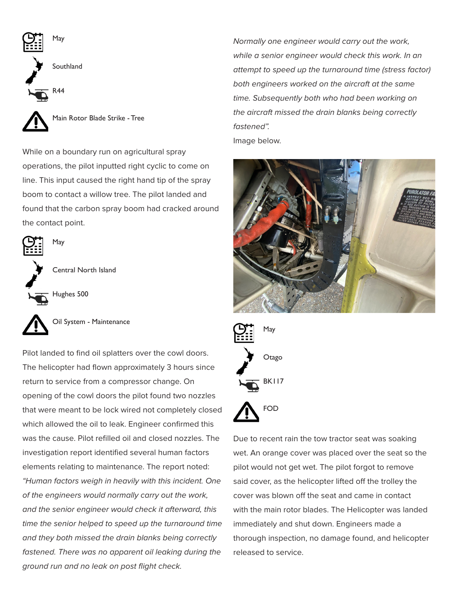

While on a boundary run on agricultural spray operations, the pilot inputted right cyclic to come on line. This input caused the right hand tip of the spray boom to contact a willow tree. The pilot landed and found that the carbon spray boom had cracked around the contact point.



Central North Island

Hughes 500

May

Oil System - Maintenance

Pilot landed to find oil splatters over the cowl doors. The helicopter had flown approximately 3 hours since return to service from a compressor change. On opening of the cowl doors the pilot found two nozzles that were meant to be lock wired not completely closed which allowed the oil to leak. Engineer confirmed this was the cause. Pilot refilled oil and closed nozzles. The investigation report identified several human factors elements relating to maintenance. The report noted: *"Human factors weigh in heavily with this incident. One of the engineers would normally carry out the work, and the senior engineer would check it afterward, this time the senior helped to speed up the turnaround time and they both missed the drain blanks being correctly fastened. There was no apparent oil leaking during the ground run and no leak on post flight check.* 

*Normally one engineer would carry out the work, while a senior engineer would check this work. In an attempt to speed up the turnaround time (stress factor) both engineers worked on the aircraft at the same time. Subsequently both who had been working on the aircraft missed the drain blanks being correctly fastened".*  Image below.





Due to recent rain the tow tractor seat was soaking wet. An orange cover was placed over the seat so the pilot would not get wet. The pilot forgot to remove said cover, as the helicopter lifted off the trolley the cover was blown off the seat and came in contact with the main rotor blades. The Helicopter was landed immediately and shut down. Engineers made a thorough inspection, no damage found, and helicopter released to service.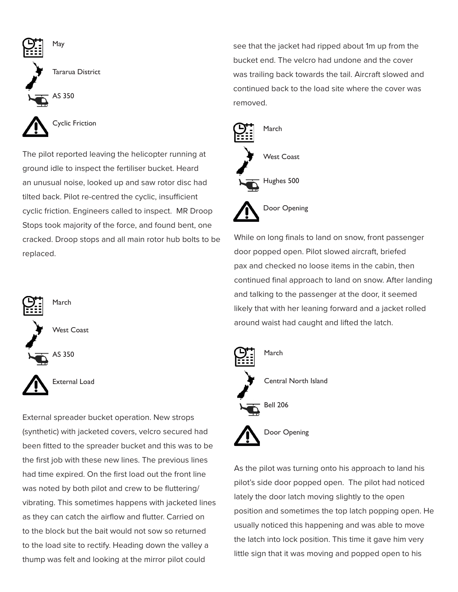

The pilot reported leaving the helicopter running at ground idle to inspect the fertiliser bucket. Heard an unusual noise, looked up and saw rotor disc had tilted back. Pilot re-centred the cyclic, insufficient cyclic friction. Engineers called to inspect. MR Droop Stops took majority of the force, and found bent, one cracked. Droop stops and all main rotor hub bolts to be replaced.



External spreader bucket operation. New strops (synthetic) with jacketed covers, velcro secured had been fitted to the spreader bucket and this was to be the first job with these new lines. The previous lines had time expired. On the first load out the front line was noted by both pilot and crew to be fluttering/ vibrating. This sometimes happens with jacketed lines as they can catch the airflow and flutter. Carried on to the block but the bait would not sow so returned to the load site to rectify. Heading down the valley a thump was felt and looking at the mirror pilot could

see that the jacket had ripped about 1m up from the bucket end. The velcro had undone and the cover was trailing back towards the tail. Aircraft slowed and continued back to the load site where the cover was removed.



Door Opening

While on long finals to land on snow, front passenger door popped open. Pilot slowed aircraft, briefed pax and checked no loose items in the cabin, then continued final approach to land on snow. After landing and talking to the passenger at the door, it seemed likely that with her leaning forward and a jacket rolled around waist had caught and lifted the latch.



As the pilot was turning onto his approach to land his pilot's side door popped open. The pilot had noticed lately the door latch moving slightly to the open position and sometimes the top latch popping open. He usually noticed this happening and was able to move the latch into lock position. This time it gave him very little sign that it was moving and popped open to his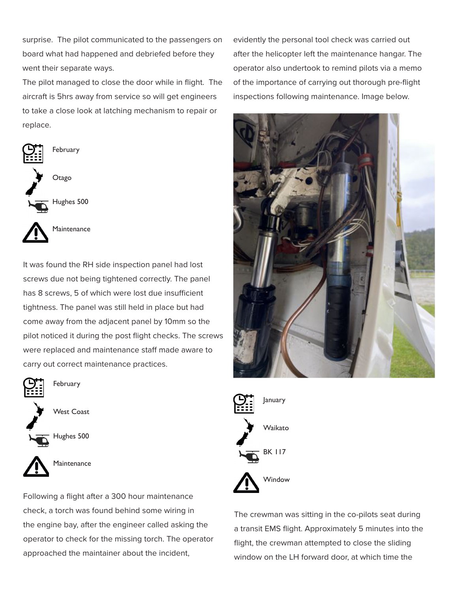surprise. The pilot communicated to the passengers on board what had happened and debriefed before they went their separate ways.

The pilot managed to close the door while in flight. The aircraft is 5hrs away from service so will get engineers to take a close look at latching mechanism to repair or replace.



It was found the RH side inspection panel had lost screws due not being tightened correctly. The panel has 8 screws, 5 of which were lost due insufficient tightness. The panel was still held in place but had come away from the adjacent panel by 10mm so the pilot noticed it during the post flight checks. The screws were replaced and maintenance staff made aware to carry out correct maintenance practices.



Hughes 500



**Maintenance** 

Following a flight after a 300 hour maintenance check, a torch was found behind some wiring in the engine bay, after the engineer called asking the operator to check for the missing torch. The operator approached the maintainer about the incident,

evidently the personal tool check was carried out after the helicopter left the maintenance hangar. The operator also undertook to remind pilots via a memo of the importance of carrying out thorough pre-flight inspections following maintenance. Image below.





The crewman was sitting in the co-pilots seat during a transit EMS flight. Approximately 5 minutes into the flight, the crewman attempted to close the sliding window on the LH forward door, at which time the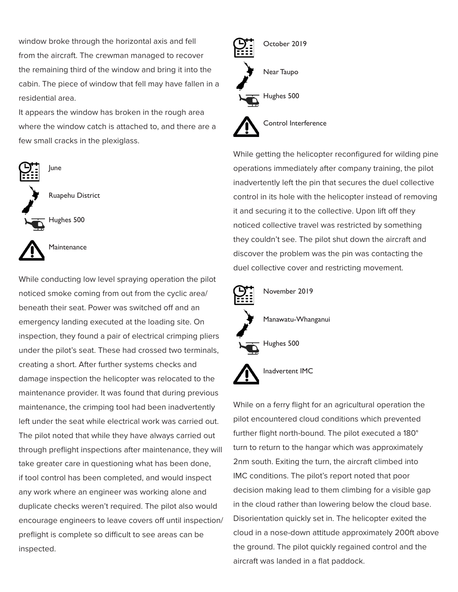window broke through the horizontal axis and fell from the aircraft. The crewman managed to recover the remaining third of the window and bring it into the cabin. The piece of window that fell may have fallen in a residential area.

It appears the window has broken in the rough area where the window catch is attached to, and there are a few small cracks in the plexiglass.



While conducting low level spraying operation the pilot noticed smoke coming from out from the cyclic area/ beneath their seat. Power was switched off and an emergency landing executed at the loading site. On inspection, they found a pair of electrical crimping pliers under the pilot's seat. These had crossed two terminals, creating a short. After further systems checks and damage inspection the helicopter was relocated to the maintenance provider. It was found that during previous maintenance, the crimping tool had been inadvertently left under the seat while electrical work was carried out. The pilot noted that while they have always carried out through preflight inspections after maintenance, they will take greater care in questioning what has been done, if tool control has been completed, and would inspect any work where an engineer was working alone and duplicate checks weren't required. The pilot also would encourage engineers to leave covers off until inspection/ preflight is complete so difficult to see areas can be inspected.



While getting the helicopter reconfigured for wilding pine operations immediately after company training, the pilot inadvertently left the pin that secures the duel collective control in its hole with the helicopter instead of removing it and securing it to the collective. Upon lift off they noticed collective travel was restricted by something they couldn't see. The pilot shut down the aircraft and discover the problem was the pin was contacting the duel collective cover and restricting movement.



While on a ferry flight for an agricultural operation the pilot encountered cloud conditions which prevented further flight north-bound. The pilot executed a 180° turn to return to the hangar which was approximately 2nm south. Exiting the turn, the aircraft climbed into IMC conditions. The pilot's report noted that poor decision making lead to them climbing for a visible gap in the cloud rather than lowering below the cloud base. Disorientation quickly set in. The helicopter exited the cloud in a nose-down attitude approximately 200ft above the ground. The pilot quickly regained control and the aircraft was landed in a flat paddock.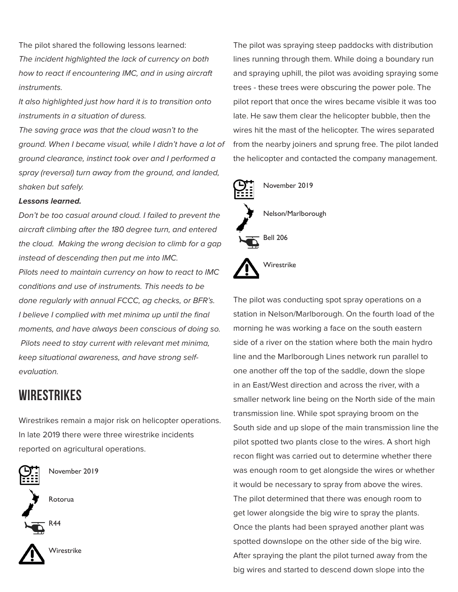The pilot shared the following lessons learned: *The incident highlighted the lack of currency on both how to react if encountering IMC, and in using aircraft instruments.*

*It also highlighted just how hard it is to transition onto instruments in a situation of duress.*

*The saving grace was that the cloud wasn't to the ground. When I became visual, while I didn't have a lot of ground clearance, instinct took over and I performed a spray (reversal) turn away from the ground, and landed, shaken but safely.*

#### *Lessons learned.*

*Don't be too casual around cloud. I failed to prevent the aircraft climbing after the 180 degree turn, and entered the cloud. Making the wrong decision to climb for a gap instead of descending then put me into IMC.*

*Pilots need to maintain currency on how to react to IMC conditions and use of instruments. This needs to be done regularly with annual FCCC, ag checks, or BFR's. I believe I complied with met minima up until the final moments, and have always been conscious of doing so. Pilots need to stay current with relevant met minima, keep situational awareness, and have strong selfevaluation.* 

### **wirestrikes**

Wirestrikes remain a major risk on helicopter operations. In late 2019 there were three wirestrike incidents reported on agricultural operations.



November 2019

Rotorua



Wirestrike

The pilot was spraying steep paddocks with distribution lines running through them. While doing a boundary run and spraying uphill, the pilot was avoiding spraying some trees - these trees were obscuring the power pole. The pilot report that once the wires became visible it was too late. He saw them clear the helicopter bubble, then the wires hit the mast of the helicopter. The wires separated from the nearby joiners and sprung free. The pilot landed the helicopter and contacted the company management.



The pilot was conducting spot spray operations on a station in Nelson/Marlborough. On the fourth load of the morning he was working a face on the south eastern side of a river on the station where both the main hydro line and the Marlborough Lines network run parallel to one another off the top of the saddle, down the slope in an East/West direction and across the river, with a smaller network line being on the North side of the main transmission line. While spot spraying broom on the South side and up slope of the main transmission line the pilot spotted two plants close to the wires. A short high recon flight was carried out to determine whether there was enough room to get alongside the wires or whether it would be necessary to spray from above the wires. The pilot determined that there was enough room to get lower alongside the big wire to spray the plants. Once the plants had been sprayed another plant was spotted downslope on the other side of the big wire. After spraying the plant the pilot turned away from the big wires and started to descend down slope into the